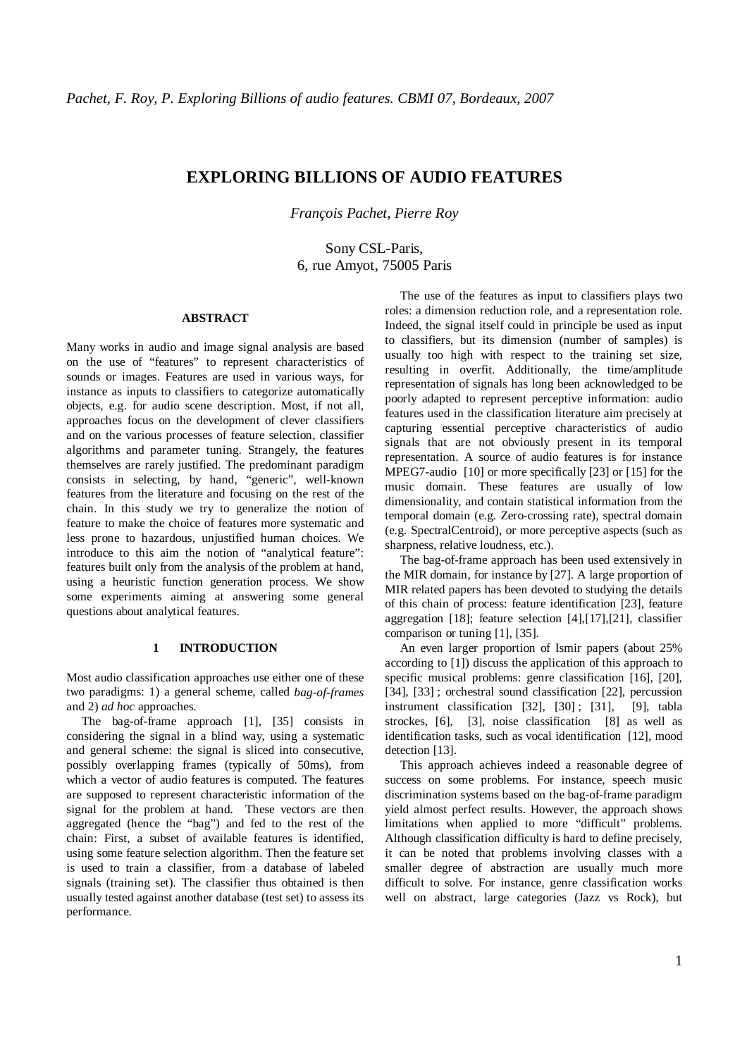# **EXPLORING BILLIONS OF AUDIO FEATURES**

*François Pachet, Pierre Roy* 

Sony CSL-Paris, 6, rue Amyot, 75005 Paris

#### **ABSTRACT**

Many works in audio and image signal analysis are based on the use of "features" to represent characteristics of sounds or images. Features are used in various ways, for instance as inputs to classifiers to categorize automatically objects, e.g. for audio scene description. Most, if not all, approaches focus on the development of clever classifiers and on the various processes of feature selection, classifier algorithms and parameter tuning. Strangely, the features themselves are rarely justified. The predominant paradigm consists in selecting, by hand, "generic", well-known features from the literature and focusing on the rest of the chain. In this study we try to generalize the notion of feature to make the choice of features more systematic and less prone to hazardous, unjustified human choices. We introduce to this aim the notion of "analytical feature": features built only from the analysis of the problem at hand, using a heuristic function generation process. We show some experiments aiming at answering some general questions about analytical features.

### **1 INTRODUCTION**

Most audio classification approaches use either one of these two paradigms: 1) a general scheme, called *bag-of-frames* and 2) *ad hoc* approaches.

The bag-of-frame approach [1], [35] consists in considering the signal in a blind way, using a systematic and general scheme: the signal is sliced into consecutive, possibly overlapping frames (typically of 50ms), from which a vector of audio features is computed. The features are supposed to represent characteristic information of the signal for the problem at hand. These vectors are then aggregated (hence the "bag") and fed to the rest of the chain: First, a subset of available features is identified, using some feature selection algorithm. Then the feature set is used to train a classifier, from a database of labeled signals (training set). The classifier thus obtained is then usually tested against another database (test set) to assess its performance.

The use of the features as input to classifiers plays two roles: a dimension reduction role, and a representation role. Indeed, the signal itself could in principle be used as input to classifiers, but its dimension (number of samples) is usually too high with respect to the training set size, resulting in overfit. Additionally, the time/amplitude representation of signals has long been acknowledged to be poorly adapted to represent perceptive information: audio features used in the classification literature aim precisely at capturing essential perceptive characteristics of audio signals that are not obviously present in its temporal representation. A source of audio features is for instance MPEG7-audio [10] or more specifically [23] or [15] for the music domain. These features are usually of low dimensionality, and contain statistical information from the temporal domain (e.g. Zero-crossing rate), spectral domain (e.g. SpectralCentroid), or more perceptive aspects (such as sharpness, relative loudness, etc.).

The bag-of-frame approach has been used extensively in the MIR domain, for instance by [27]. A large proportion of MIR related papers has been devoted to studying the details of this chain of process: feature identification [23], feature aggregation [18]; feature selection [4],[17],[21], classifier comparison or tuning [1], [35].

An even larger proportion of Ismir papers (about 25% according to [1]) discuss the application of this approach to specific musical problems: genre classification [16], [20], [34], [33] ; orchestral sound classification [22], percussion instrument classification [32], [30] ; [31], [9], tabla strockes, [6], [3], noise classification [8] as well as identification tasks, such as vocal identification [12], mood detection [13].

This approach achieves indeed a reasonable degree of success on some problems. For instance, speech music discrimination systems based on the bag-of-frame paradigm yield almost perfect results. However, the approach shows limitations when applied to more "difficult" problems. Although classification difficulty is hard to define precisely, it can be noted that problems involving classes with a smaller degree of abstraction are usually much more difficult to solve. For instance, genre classification works well on abstract, large categories (Jazz vs Rock), but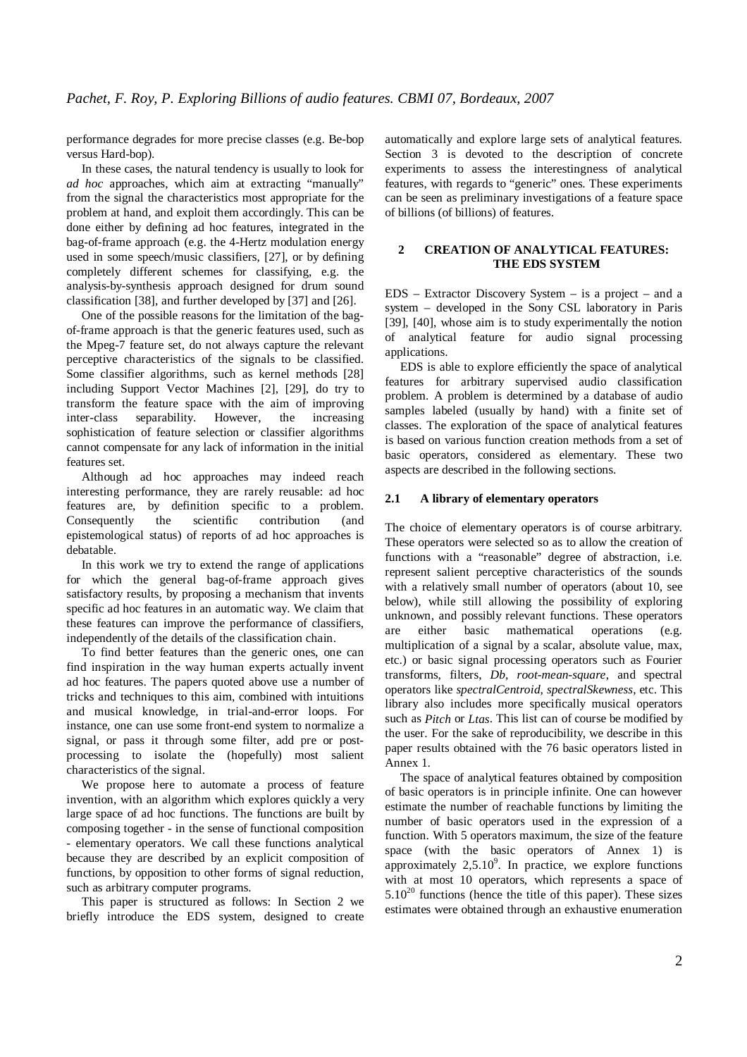performance degrades for more precise classes (e.g. Be-bop versus Hard-bop).

In these cases, the natural tendency is usually to look for *ad hoc* approaches, which aim at extracting "manually" from the signal the characteristics most appropriate for the problem at hand, and exploit them accordingly. This can be done either by defining ad hoc features, integrated in the bag-of-frame approach (e.g. the 4-Hertz modulation energy used in some speech/music classifiers, [27], or by defining completely different schemes for classifying, e.g. the analysis-by-synthesis approach designed for drum sound classification [38], and further developed by [37] and [26].

One of the possible reasons for the limitation of the bagof-frame approach is that the generic features used, such as the Mpeg-7 feature set, do not always capture the relevant perceptive characteristics of the signals to be classified. Some classifier algorithms, such as kernel methods [28] including Support Vector Machines [2], [29], do try to transform the feature space with the aim of improving inter-class separability. However, the increasing sophistication of feature selection or classifier algorithms cannot compensate for any lack of information in the initial features set.

Although ad hoc approaches may indeed reach interesting performance, they are rarely reusable: ad hoc features are, by definition specific to a problem. Consequently the scientific contribution (and epistemological status) of reports of ad hoc approaches is debatable.

In this work we try to extend the range of applications for which the general bag-of-frame approach gives satisfactory results, by proposing a mechanism that invents specific ad hoc features in an automatic way. We claim that these features can improve the performance of classifiers, independently of the details of the classification chain.

To find better features than the generic ones, one can find inspiration in the way human experts actually invent ad hoc features. The papers quoted above use a number of tricks and techniques to this aim, combined with intuitions and musical knowledge, in trial-and-error loops. For instance, one can use some front-end system to normalize a signal, or pass it through some filter, add pre or postprocessing to isolate the (hopefully) most salient characteristics of the signal.

We propose here to automate a process of feature invention, with an algorithm which explores quickly a very large space of ad hoc functions. The functions are built by composing together - in the sense of functional composition - elementary operators. We call these functions analytical because they are described by an explicit composition of functions, by opposition to other forms of signal reduction, such as arbitrary computer programs.

This paper is structured as follows: In Section 2 we briefly introduce the EDS system, designed to create automatically and explore large sets of analytical features. Section 3 is devoted to the description of concrete experiments to assess the interestingness of analytical features, with regards to "generic" ones. These experiments can be seen as preliminary investigations of a feature space of billions (of billions) of features.

### **2 CREATION OF ANALYTICAL FEATURES: THE EDS SYSTEM**

EDS – Extractor Discovery System – is a project – and a system – developed in the Sony CSL laboratory in Paris [39], [40], whose aim is to study experimentally the notion of analytical feature for audio signal processing applications.

EDS is able to explore efficiently the space of analytical features for arbitrary supervised audio classification problem. A problem is determined by a database of audio samples labeled (usually by hand) with a finite set of classes. The exploration of the space of analytical features is based on various function creation methods from a set of basic operators, considered as elementary. These two aspects are described in the following sections.

### **2.1 A library of elementary operators**

The choice of elementary operators is of course arbitrary. These operators were selected so as to allow the creation of functions with a "reasonable" degree of abstraction, i.e. represent salient perceptive characteristics of the sounds with a relatively small number of operators (about 10, see below), while still allowing the possibility of exploring unknown, and possibly relevant functions. These operators are either basic mathematical operations (e.g. multiplication of a signal by a scalar, absolute value, max, etc.) or basic signal processing operators such as Fourier transforms, filters, *Db*, *root-mean-square*, and spectral operators like *spectralCentroid*, *spectralSkewness*, etc. This library also includes more specifically musical operators such as *Pitch* or *Ltas*. This list can of course be modified by the user. For the sake of reproducibility, we describe in this paper results obtained with the 76 basic operators listed in Annex 1.

The space of analytical features obtained by composition of basic operators is in principle infinite. One can however estimate the number of reachable functions by limiting the number of basic operators used in the expression of a function. With 5 operators maximum, the size of the feature space (with the basic operators of Annex 1) is approximately  $2,5.10^9$ . In practice, we explore functions with at most 10 operators, which represents a space of  $5.10^{20}$  functions (hence the title of this paper). These sizes estimates were obtained through an exhaustive enumeration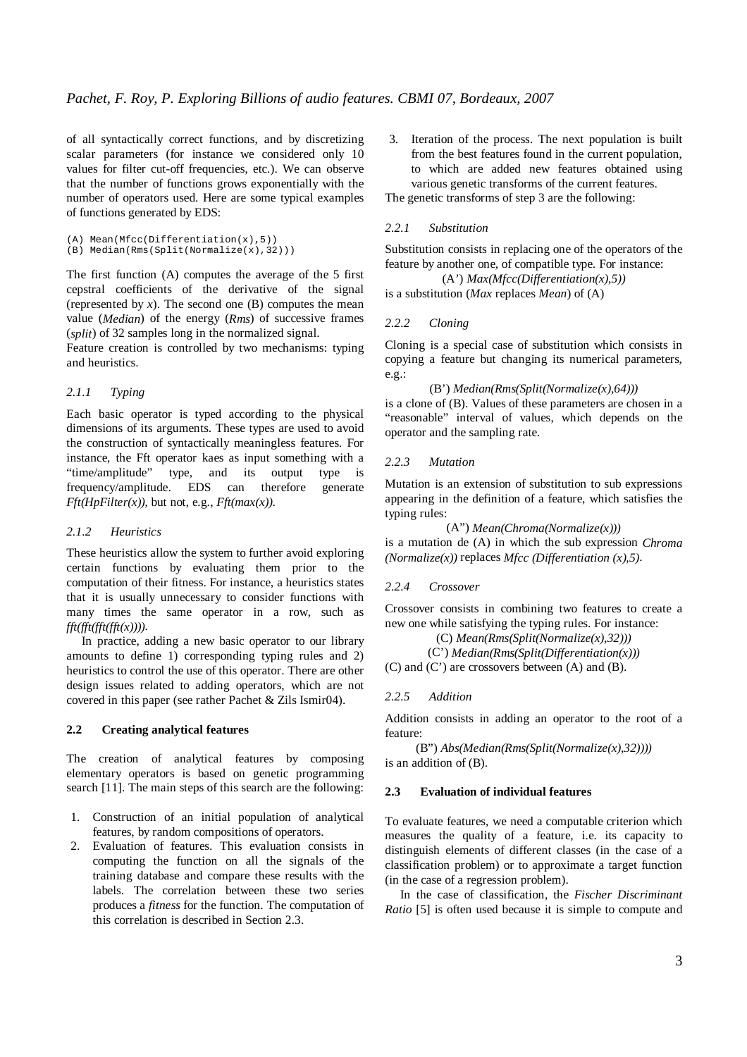of all syntactically correct functions, and by discretizing scalar parameters (for instance we considered only 10 values for filter cut-off frequencies, etc.). We can observe that the number of functions grows exponentially with the number of operators used. Here are some typical examples of functions generated by EDS:

```
(A) Mean(Mfcc(Differentiation(x),5))
(B) Median(Rms(Split(Normalize(x),32)))
```
The first function (A) computes the average of the 5 first cepstral coefficients of the derivative of the signal (represented by  $x$ ). The second one (B) computes the mean value (*Median*) of the energy (*Rms*) of successive frames (*split*) of 32 samples long in the normalized signal.

Feature creation is controlled by two mechanisms: typing and heuristics.

# *2.1.1 Typing*

Each basic operator is typed according to the physical dimensions of its arguments. These types are used to avoid the construction of syntactically meaningless features. For instance, the Fft operator kaes as input something with a "time/amplitude" type, and its output type is frequency/amplitude. EDS can therefore generate  $Fft(HpFilter(x))$ , but not, e.g.,  $Fft(max(x))$ .

### *2.1.2 Heuristics*

These heuristics allow the system to further avoid exploring certain functions by evaluating them prior to the computation of their fitness. For instance, a heuristics states that it is usually unnecessary to consider functions with many times the same operator in a row, such as *fft(fft(fft(fft(x))))*.

In practice, adding a new basic operator to our library amounts to define 1) corresponding typing rules and 2) heuristics to control the use of this operator. There are other design issues related to adding operators, which are not covered in this paper (see rather Pachet & Zils Ismir04).

### **2.2 Creating analytical features**

The creation of analytical features by composing elementary operators is based on genetic programming search [11]. The main steps of this search are the following:

- 1. Construction of an initial population of analytical features, by random compositions of operators.
- 2. Evaluation of features. This evaluation consists in computing the function on all the signals of the training database and compare these results with the labels. The correlation between these two series produces a *fitness* for the function. The computation of this correlation is described in Section 2.3.

3. Iteration of the process. The next population is built from the best features found in the current population, to which are added new features obtained using various genetic transforms of the current features.

The genetic transforms of step 3 are the following:

### *2.2.1 Substitution*

Substitution consists in replacing one of the operators of the feature by another one, of compatible type. For instance:

(A') *Max(Mfcc(Differentiation(x),5))*

is a substitution (*Max* replaces *Mean*) of (A)

### *2.2.2 Cloning*

Cloning is a special case of substitution which consists in copying a feature but changing its numerical parameters, e.g.:

(B') *Median(Rms(Split(Normalize(x),64)))*

is a clone of (B). Values of these parameters are chosen in a "reasonable" interval of values, which depends on the operator and the sampling rate.

# *2.2.3 Mutation*

Mutation is an extension of substitution to sub expressions appearing in the definition of a feature, which satisfies the typing rules:

(A") *Mean(Chroma(Normalize(x)))*

is a mutation de (A) in which the sub expression *Chroma (Normalize(x))* replaces *Mfcc (Differentiation (x),5)*.

### *2.2.4 Crossover*

Crossover consists in combining two features to create a new one while satisfying the typing rules. For instance:

(C) *Mean(Rms(Split(Normalize(x),32)))*

(C') *Median(Rms(Split(Differentiation(x)))*

(C) and (C') are crossovers between (A) and (B).

### *2.2.5 Addition*

Addition consists in adding an operator to the root of a feature:

(B") *Abs(Median(Rms(Split(Normalize(x),32))))* is an addition of (B).

#### **2.3 Evaluation of individual features**

To evaluate features, we need a computable criterion which measures the quality of a feature, i.e. its capacity to distinguish elements of different classes (in the case of a classification problem) or to approximate a target function (in the case of a regression problem).

In the case of classification, the *Fischer Discriminant Ratio* [5] is often used because it is simple to compute and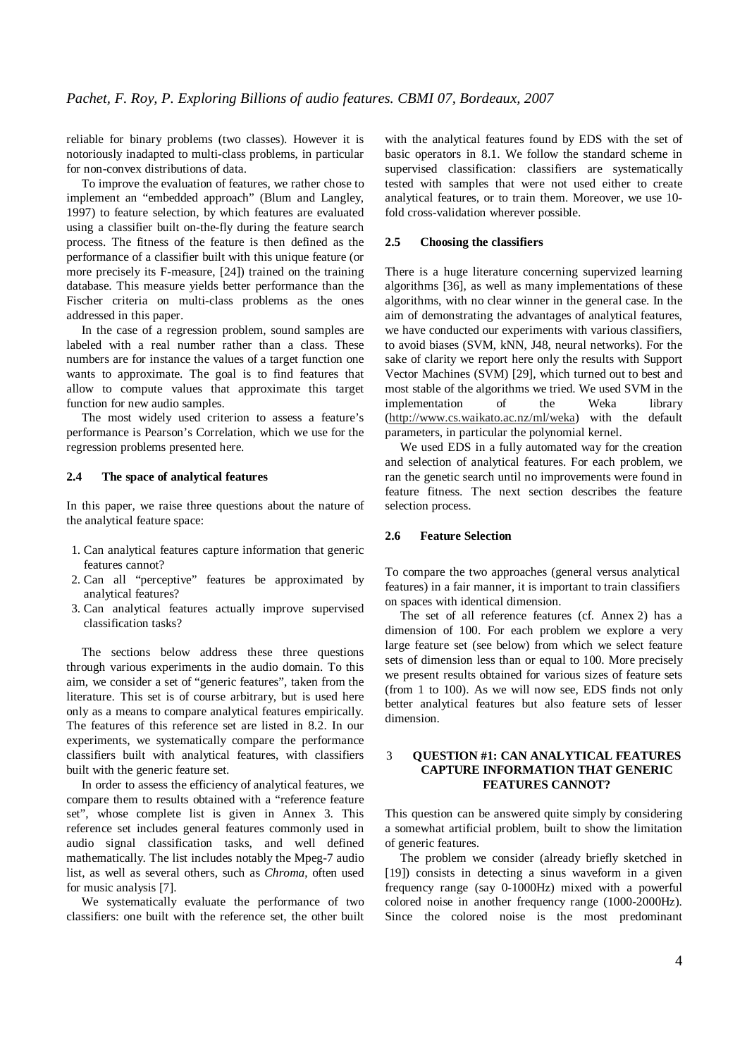reliable for binary problems (two classes). However it is notoriously inadapted to multi-class problems, in particular for non-convex distributions of data.

To improve the evaluation of features, we rather chose to implement an "embedded approach" (Blum and Langley, 1997) to feature selection, by which features are evaluated using a classifier built on-the-fly during the feature search process. The fitness of the feature is then defined as the performance of a classifier built with this unique feature (or more precisely its F-measure, [24]) trained on the training database. This measure yields better performance than the Fischer criteria on multi-class problems as the ones addressed in this paper.

In the case of a regression problem, sound samples are labeled with a real number rather than a class. These numbers are for instance the values of a target function one wants to approximate. The goal is to find features that allow to compute values that approximate this target function for new audio samples.

The most widely used criterion to assess a feature's performance is Pearson's Correlation, which we use for the regression problems presented here.

# **2.4 The space of analytical features**

In this paper, we raise three questions about the nature of the analytical feature space:

- 1. Can analytical features capture information that generic features cannot?
- 2. Can all "perceptive" features be approximated by analytical features?
- 3. Can analytical features actually improve supervised classification tasks?

The sections below address these three questions through various experiments in the audio domain. To this aim, we consider a set of "generic features", taken from the literature. This set is of course arbitrary, but is used here only as a means to compare analytical features empirically. The features of this reference set are listed in 8.2. In our experiments, we systematically compare the performance classifiers built with analytical features, with classifiers built with the generic feature set.

In order to assess the efficiency of analytical features, we compare them to results obtained with a "reference feature set", whose complete list is given in Annex 3. This reference set includes general features commonly used in audio signal classification tasks, and well defined mathematically. The list includes notably the Mpeg-7 audio list, as well as several others, such as *Chroma*, often used for music analysis [7].

We systematically evaluate the performance of two classifiers: one built with the reference set, the other built

with the analytical features found by EDS with the set of basic operators in 8.1. We follow the standard scheme in supervised classification: classifiers are systematically tested with samples that were not used either to create analytical features, or to train them. Moreover, we use 10 fold cross-validation wherever possible.

#### **2.5 Choosing the classifiers**

There is a huge literature concerning supervized learning algorithms [36], as well as many implementations of these algorithms, with no clear winner in the general case. In the aim of demonstrating the advantages of analytical features, we have conducted our experiments with various classifiers, to avoid biases (SVM, kNN, J48, neural networks). For the sake of clarity we report here only the results with Support Vector Machines (SVM) [29], which turned out to best and most stable of the algorithms we tried. We used SVM in the implementation of the Weka library (http://www.cs.waikato.ac.nz/ml/weka) with the default parameters, in particular the polynomial kernel.

We used EDS in a fully automated way for the creation and selection of analytical features. For each problem, we ran the genetic search until no improvements were found in feature fitness. The next section describes the feature selection process.

#### **2.6 Feature Selection**

To compare the two approaches (general versus analytical features) in a fair manner, it is important to train classifiers on spaces with identical dimension.

The set of all reference features (cf. Annex 2) has a dimension of 100. For each problem we explore a very large feature set (see below) from which we select feature sets of dimension less than or equal to 100. More precisely we present results obtained for various sizes of feature sets (from 1 to 100). As we will now see, EDS finds not only better analytical features but also feature sets of lesser dimension.

### 3 **QUESTION #1: CAN ANALYTICAL FEATURES CAPTURE INFORMATION THAT GENERIC FEATURES CANNOT?**

This question can be answered quite simply by considering a somewhat artificial problem, built to show the limitation of generic features.

The problem we consider (already briefly sketched in [19]) consists in detecting a sinus waveform in a given frequency range (say 0-1000Hz) mixed with a powerful colored noise in another frequency range (1000-2000Hz). Since the colored noise is the most predominant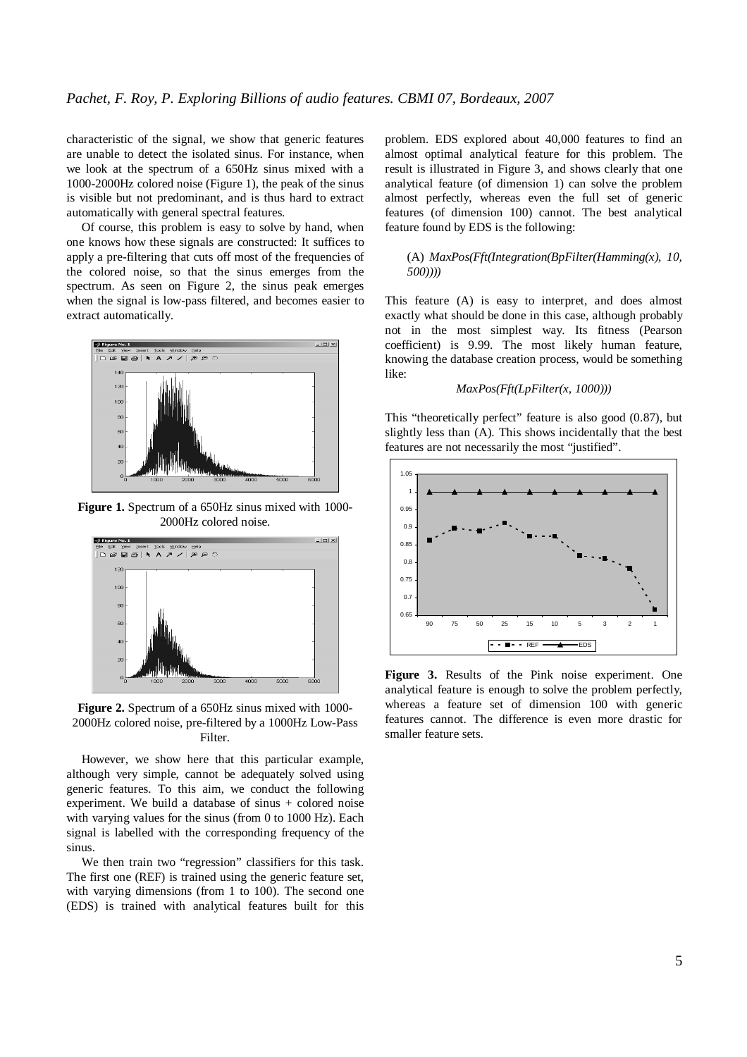characteristic of the signal, we show that generic features are unable to detect the isolated sinus. For instance, when we look at the spectrum of a 650Hz sinus mixed with a 1000-2000Hz colored noise (Figure 1), the peak of the sinus is visible but not predominant, and is thus hard to extract automatically with general spectral features.

Of course, this problem is easy to solve by hand, when one knows how these signals are constructed: It suffices to apply a pre-filtering that cuts off most of the frequencies of the colored noise, so that the sinus emerges from the spectrum. As seen on Figure 2, the sinus peak emerges when the signal is low-pass filtered, and becomes easier to extract automatically.



**Figure 1.** Spectrum of a 650Hz sinus mixed with 1000-2000Hz colored noise.



Figure 2. Spectrum of a 650Hz sinus mixed with 1000-2000Hz colored noise, pre-filtered by a 1000Hz Low-Pass Filter.

However, we show here that this particular example, although very simple, cannot be adequately solved using generic features. To this aim, we conduct the following experiment. We build a database of sinus + colored noise with varying values for the sinus (from 0 to 1000 Hz). Each signal is labelled with the corresponding frequency of the sinus.

We then train two "regression" classifiers for this task. The first one (REF) is trained using the generic feature set, with varying dimensions (from 1 to 100). The second one (EDS) is trained with analytical features built for this problem. EDS explored about 40,000 features to find an almost optimal analytical feature for this problem. The result is illustrated in Figure 3, and shows clearly that one analytical feature (of dimension 1) can solve the problem almost perfectly, whereas even the full set of generic features (of dimension 100) cannot. The best analytical feature found by EDS is the following:

### (A) *MaxPos(Fft(Integration(BpFilter(Hamming(x), 10, 500))))*

This feature (A) is easy to interpret, and does almost exactly what should be done in this case, although probably not in the most simplest way. Its fitness (Pearson coefficient) is 9.99. The most likely human feature, knowing the database creation process, would be something like:

# *MaxPos(Fft(LpFilter(x, 1000)))*

This "theoretically perfect" feature is also good (0.87), but slightly less than (A). This shows incidentally that the best features are not necessarily the most "justified".



**Figure 3.** Results of the Pink noise experiment. One analytical feature is enough to solve the problem perfectly, whereas a feature set of dimension 100 with generic features cannot. The difference is even more drastic for smaller feature sets.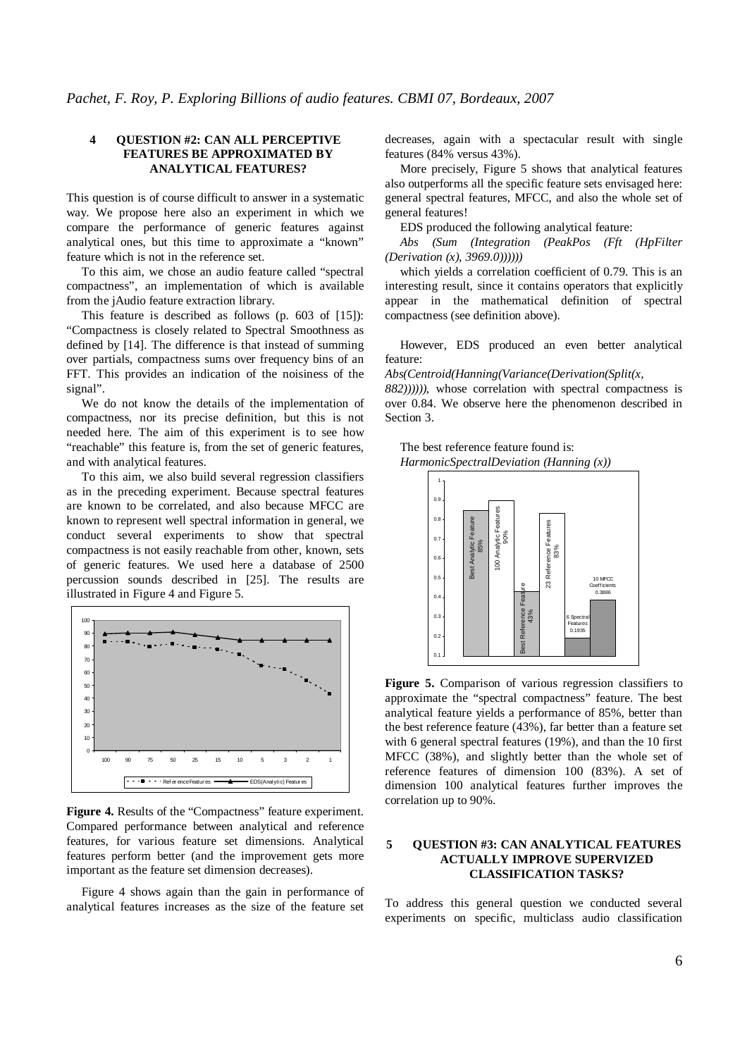### **4 QUESTION #2: CAN ALL PERCEPTIVE FEATURES BE APPROXIMATED BY ANALYTICAL FEATURES?**

This question is of course difficult to answer in a systematic way. We propose here also an experiment in which we compare the performance of generic features against analytical ones, but this time to approximate a "known" feature which is not in the reference set.

To this aim, we chose an audio feature called "spectral compactness", an implementation of which is available from the jAudio feature extraction library.

This feature is described as follows (p. 603 of [15]): "Compactness is closely related to Spectral Smoothness as defined by [14]. The difference is that instead of summing over partials, compactness sums over frequency bins of an FFT. This provides an indication of the noisiness of the signal".

We do not know the details of the implementation of compactness, nor its precise definition, but this is not needed here. The aim of this experiment is to see how "reachable" this feature is, from the set of generic features, and with analytical features.

To this aim, we also build several regression classifiers as in the preceding experiment. Because spectral features are known to be correlated, and also because MFCC are known to represent well spectral information in general, we conduct several experiments to show that spectral compactness is not easily reachable from other, known, sets of generic features. We used here a database of 2500 percussion sounds described in [25]. The results are illustrated in Figure 4 and Figure 5.



**Figure 4.** Results of the "Compactness" feature experiment. Compared performance between analytical and reference features, for various feature set dimensions. Analytical features perform better (and the improvement gets more important as the feature set dimension decreases).

Figure 4 shows again than the gain in performance of analytical features increases as the size of the feature set decreases, again with a spectacular result with single features (84% versus 43%).

More precisely, Figure 5 shows that analytical features also outperforms all the specific feature sets envisaged here: general spectral features, MFCC, and also the whole set of general features!

EDS produced the following analytical feature:

*Abs (Sum (Integration (PeakPos (Fft (HpFilter (Derivation (x), 3969.0))))))* 

which yields a correlation coefficient of 0.79. This is an interesting result, since it contains operators that explicitly appear in the mathematical definition of spectral compactness (see definition above).

However, EDS produced an even better analytical feature:

*Abs(Centroid(Hanning(Variance(Derivation(Split(x,* 

*882))))))*, whose correlation with spectral compactness is over 0.84. We observe here the phenomenon described in Section 3.

The best reference feature found is: *HarmonicSpectralDeviation (Hanning (x))* 



**Figure 5.** Comparison of various regression classifiers to approximate the "spectral compactness" feature. The best analytical feature yields a performance of 85%, better than the best reference feature (43%), far better than a feature set with 6 general spectral features (19%), and than the 10 first MFCC (38%), and slightly better than the whole set of reference features of dimension 100 (83%). A set of dimension 100 analytical features further improves the correlation up to 90%.

### **5 QUESTION #3: CAN ANALYTICAL FEATURES ACTUALLY IMPROVE SUPERVIZED CLASSIFICATION TASKS?**

To address this general question we conducted several experiments on specific, multiclass audio classification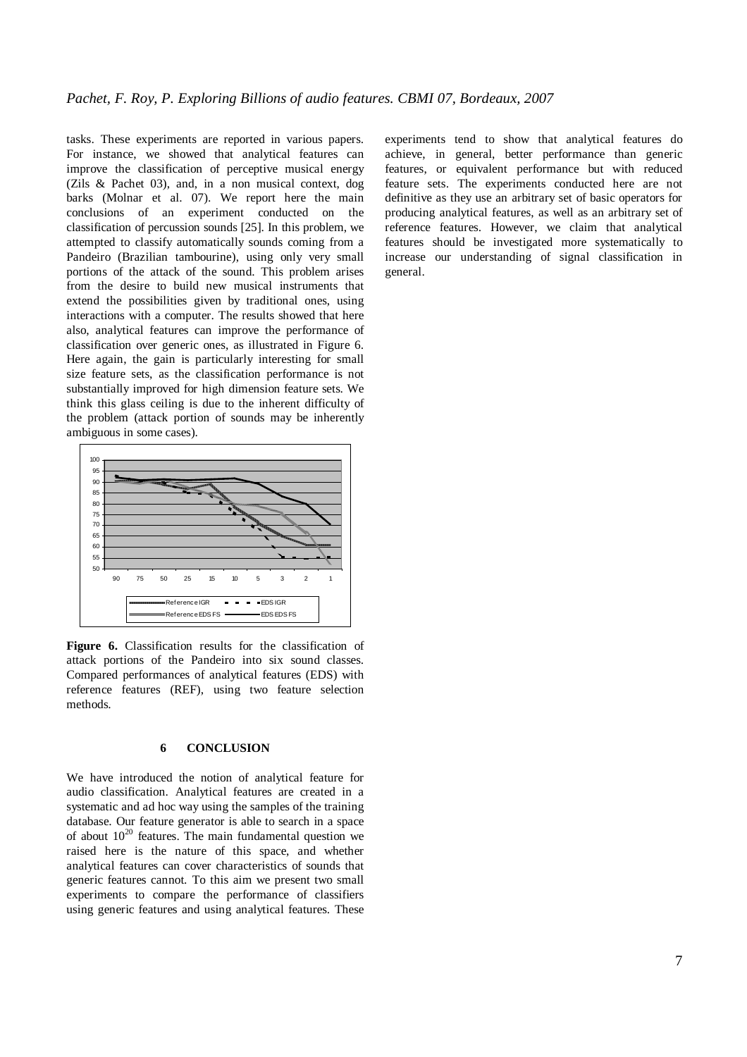tasks. These experiments are reported in various papers. For instance, we showed that analytical features can improve the classification of perceptive musical energy (Zils & Pachet 03), and, in a non musical context, dog barks (Molnar et al. 07). We report here the main conclusions of an experiment conducted on the classification of percussion sounds [25]. In this problem, we attempted to classify automatically sounds coming from a Pandeiro (Brazilian tambourine), using only very small portions of the attack of the sound. This problem arises from the desire to build new musical instruments that extend the possibilities given by traditional ones, using interactions with a computer. The results showed that here also, analytical features can improve the performance of classification over generic ones, as illustrated in Figure 6. Here again, the gain is particularly interesting for small size feature sets, as the classification performance is not substantially improved for high dimension feature sets. We think this glass ceiling is due to the inherent difficulty of the problem (attack portion of sounds may be inherently ambiguous in some cases).



**Figure 6.** Classification results for the classification of attack portions of the Pandeiro into six sound classes. Compared performances of analytical features (EDS) with reference features (REF), using two feature selection methods.

# **6 CONCLUSION**

We have introduced the notion of analytical feature for audio classification. Analytical features are created in a systematic and ad hoc way using the samples of the training database. Our feature generator is able to search in a space of about  $10^{20}$  features. The main fundamental question we raised here is the nature of this space, and whether analytical features can cover characteristics of sounds that generic features cannot. To this aim we present two small experiments to compare the performance of classifiers using generic features and using analytical features. These

experiments tend to show that analytical features do achieve, in general, better performance than generic features, or equivalent performance but with reduced feature sets. The experiments conducted here are not definitive as they use an arbitrary set of basic operators for producing analytical features, as well as an arbitrary set of reference features. However, we claim that analytical features should be investigated more systematically to increase our understanding of signal classification in general.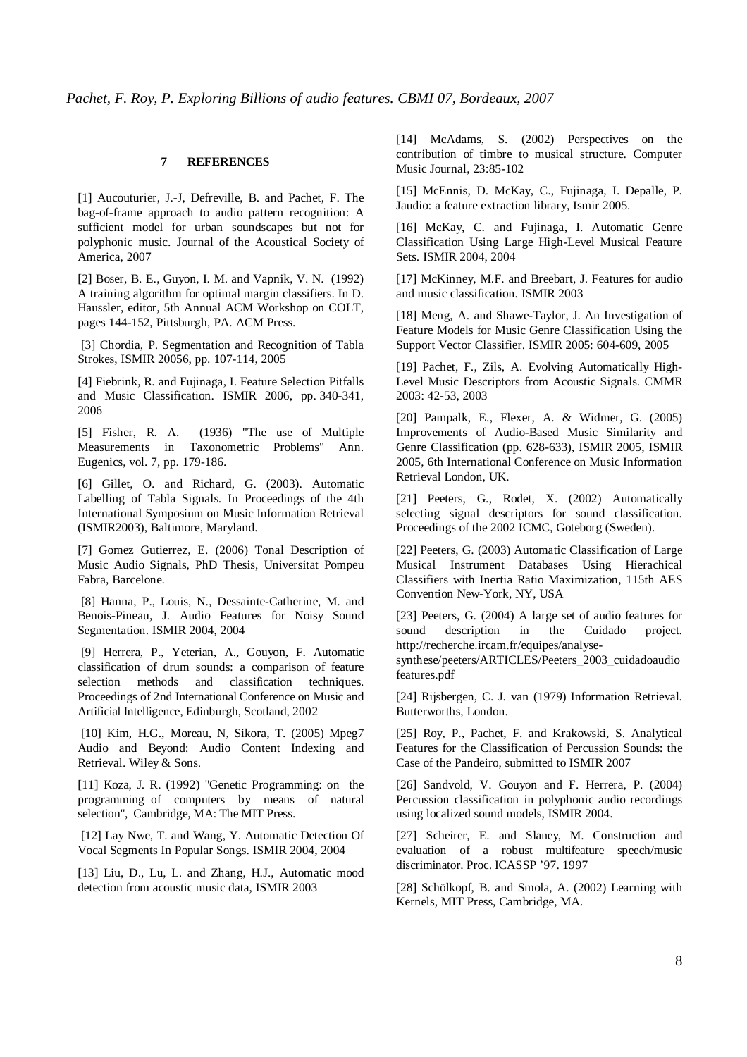# **7 REFERENCES**

[1] Aucouturier, J.-J, Defreville, B. and Pachet, F. The bag-of-frame approach to audio pattern recognition: A sufficient model for urban soundscapes but not for polyphonic music. Journal of the Acoustical Society of America, 2007

[2] Boser, B. E., Guyon, I. M. and Vapnik, V. N. (1992) A training algorithm for optimal margin classifiers. In D. Haussler, editor, 5th Annual ACM Workshop on COLT, pages 144-152, Pittsburgh, PA. ACM Press.

 [3] Chordia, P. Segmentation and Recognition of Tabla Strokes, ISMIR 20056, pp. 107-114, 2005

[4] Fiebrink, R. and Fujinaga, I. Feature Selection Pitfalls and Music Classification. ISMIR 2006, pp. 340-341, 2006

[5] Fisher, R. A. (1936) "The use of Multiple Measurements in Taxonometric Problems" Ann. Eugenics, vol. 7, pp. 179-186.

[6] Gillet, O. and Richard, G. (2003). Automatic Labelling of Tabla Signals. In Proceedings of the 4th International Symposium on Music Information Retrieval (ISMIR2003), Baltimore, Maryland.

[7] Gomez Gutierrez, E. (2006) Tonal Description of Music Audio Signals, PhD Thesis, Universitat Pompeu Fabra, Barcelone.

 [8] Hanna, P., Louis, N., Dessainte-Catherine, M. and Benois-Pineau, J. Audio Features for Noisy Sound Segmentation. ISMIR 2004, 2004

 [9] Herrera, P., Yeterian, A., Gouyon, F. Automatic classification of drum sounds: a comparison of feature selection methods and classification techniques. Proceedings of 2nd International Conference on Music and Artificial Intelligence, Edinburgh, Scotland, 2002

 [10] Kim, H.G., Moreau, N, Sikora, T. (2005) Mpeg7 Audio and Beyond: Audio Content Indexing and Retrieval. Wiley & Sons.

[11] Koza, J. R. (1992) "Genetic Programming: on the programming of computers by means of natural selection", Cambridge, MA: The MIT Press.

[12] Lay Nwe, T. and Wang, Y. Automatic Detection Of Vocal Segments In Popular Songs. ISMIR 2004, 2004

[13] Liu, D., Lu, L. and Zhang, H.J., Automatic mood detection from acoustic music data, ISMIR 2003

[14] McAdams, S. (2002) Perspectives on the contribution of timbre to musical structure. Computer Music Journal, 23:85-102

[15] McEnnis, D. McKay, C., Fujinaga, I. Depalle, P. Jaudio: a feature extraction library, Ismir 2005.

[16] McKay, C. and Fujinaga, I. Automatic Genre Classification Using Large High-Level Musical Feature Sets. ISMIR 2004, 2004

[17] McKinney, M.F. and Breebart, J. Features for audio and music classification. ISMIR 2003

[18] Meng, A. and Shawe-Taylor, J. An Investigation of Feature Models for Music Genre Classification Using the Support Vector Classifier. ISMIR 2005: 604-609, 2005

[19] Pachet, F., Zils, A. Evolving Automatically High-Level Music Descriptors from Acoustic Signals. CMMR 2003: 42-53, 2003

[20] Pampalk, E., Flexer, A. & Widmer, G. (2005) Improvements of Audio-Based Music Similarity and Genre Classification (pp. 628-633), ISMIR 2005, ISMIR 2005, 6th International Conference on Music Information Retrieval London, UK.

[21] Peeters, G., Rodet, X. (2002) Automatically selecting signal descriptors for sound classification. Proceedings of the 2002 ICMC, Goteborg (Sweden).

[22] Peeters, G. (2003) Automatic Classification of Large Musical Instrument Databases Using Hierachical Classifiers with Inertia Ratio Maximization, 115th AES Convention New-York, NY, USA

[23] Peeters, G. (2004) A large set of audio features for sound description in the Cuidado project. http://recherche.ircam.fr/equipes/analyse-

synthese/peeters/ARTICLES/Peeters\_2003\_cuidadoaudio features.pdf

[24] Rijsbergen, C. J. van (1979) Information Retrieval. Butterworths, London.

[25] Roy, P., Pachet, F. and Krakowski, S. Analytical Features for the Classification of Percussion Sounds: the Case of the Pandeiro, submitted to ISMIR 2007

[26] Sandvold, V. Gouyon and F. Herrera, P. (2004) Percussion classification in polyphonic audio recordings using localized sound models, ISMIR 2004.

[27] Scheirer, E. and Slaney, M. Construction and evaluation of a robust multifeature speech/music discriminator. Proc. ICASSP '97. 1997

[28] Schölkopf, B. and Smola, A. (2002) Learning with Kernels, MIT Press, Cambridge, MA.